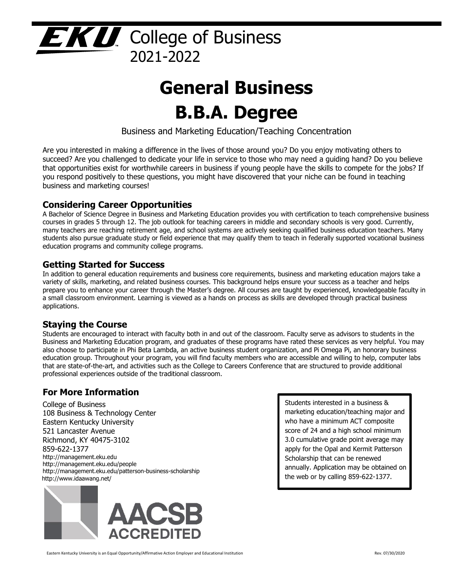

# **General Business B.B.A. Degree**

Business and Marketing Education/Teaching Concentration

Are you interested in making a difference in the lives of those around you? Do you enjoy motivating others to succeed? Are you challenged to dedicate your life in service to those who may need a guiding hand? Do you believe that opportunities exist for worthwhile careers in business if young people have the skills to compete for the jobs? If you respond positively to these questions, you might have discovered that your niche can be found in teaching business and marketing courses!

# **Considering Career Opportunities**

A Bachelor of Science Degree in Business and Marketing Education provides you with certification to teach comprehensive business courses in grades 5 through 12. The job outlook for teaching careers in middle and secondary schools is very good. Currently, many teachers are reaching retirement age, and school systems are actively seeking qualified business education teachers. Many students also pursue graduate study or field experience that may qualify them to teach in federally supported vocational business education programs and community college programs.

## **Getting Started for Success**

In addition to general education requirements and business core requirements, business and marketing education majors take a variety of skills, marketing, and related business courses. This background helps ensure your success as a teacher and helps prepare you to enhance your career through the Master's degree. All courses are taught by experienced, knowledgeable faculty in a small classroom environment. Learning is viewed as a hands on process as skills are developed through practical business applications.

# **Staying the Course**

Students are encouraged to interact with faculty both in and out of the classroom. Faculty serve as advisors to students in the Business and Marketing Education program, and graduates of these programs have rated these services as very helpful. You may also choose to participate in Phi Beta Lambda, an active business student organization, and Pi Omega Pi, an honorary business education group. Throughout your program, you will find faculty members who are accessible and willing to help, computer labs that are state-of-the-art, and activities such as the College to Careers Conference that are structured to provide additional professional experiences outside of the traditional classroom.

# **For More Information**

College of Business 108 Business & Technology Center Eastern Kentucky University 521 Lancaster Avenue Richmond, KY 40475-3102 859-622-1377 http://management.eku.edu http://management.eku.edu/people http://management.eku.edu/patterson-business-scholarship http://www.idaawang.net/



Students interested in a business & marketing education/teaching major and who have a minimum ACT composite score of 24 and a high school minimum 3.0 cumulative grade point average may apply for the Opal and Kermit Patterson Scholarship that can be renewed annually. Application may be obtained on the web or by calling 859-622-1377.